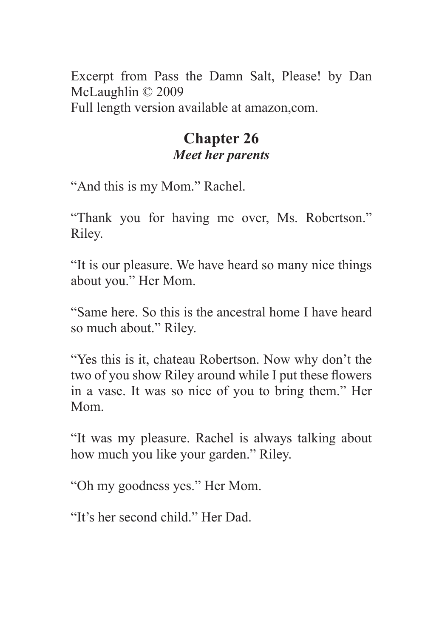Excerpt from Pass the Damn Salt, Please! by Dan McLaughlin © 2009

Full length version available at amazon,com.

## **Chapter 26** *Meet her parents*

"And this is my Mom." Rachel.

"Thank you for having me over, Ms. Robertson." Riley.

"It is our pleasure. We have heard so many nice things about you." Her Mom.

"Same here. So this is the ancestral home I have heard so much about." Riley.

"Yes this is it, chateau Robertson. Now why don't the two of you show Riley around while I put these flowers in a vase. It was so nice of you to bring them." Her Mom.

"It was my pleasure. Rachel is always talking about how much you like your garden." Riley.

"Oh my goodness yes." Her Mom.

"It's her second child." Her Dad.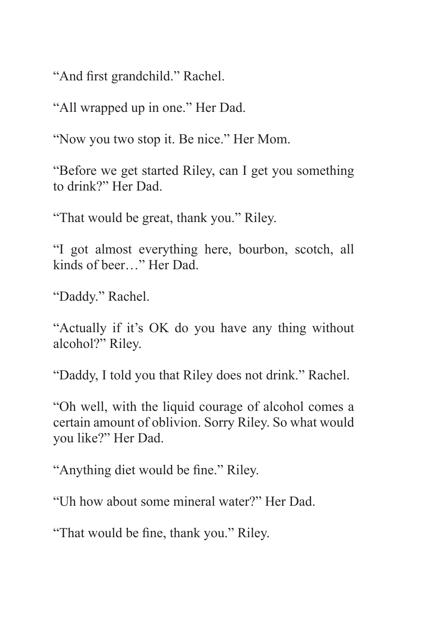"And first grandchild." Rachel.

"All wrapped up in one." Her Dad.

"Now you two stop it. Be nice." Her Mom.

"Before we get started Riley, can I get you something to drink?" Her Dad.

"That would be great, thank you." Riley.

"I got almost everything here, bourbon, scotch, all kinds of beer…" Her Dad.

"Daddy." Rachel.

"Actually if it's OK do you have any thing without alcohol?" Riley.

"Daddy, I told you that Riley does not drink." Rachel.

"Oh well, with the liquid courage of alcohol comes a certain amount of oblivion. Sorry Riley. So what would you like?" Her Dad.

"Anything diet would be fine." Riley.

"Uh how about some mineral water?" Her Dad.

"That would be fine, thank you." Riley.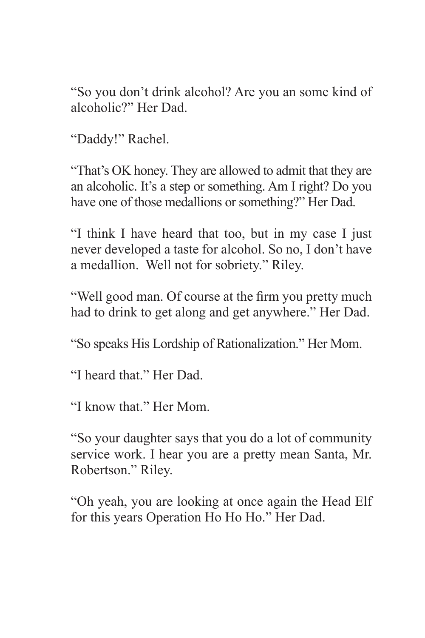"So you don't drink alcohol? Are you an some kind of alcoholic?" Her Dad.

"Daddy!" Rachel.

"That's OK honey. They are allowed to admit that they are an alcoholic. It's a step or something. Am I right? Do you have one of those medallions or something?" Her Dad.

"I think I have heard that too, but in my case I just never developed a taste for alcohol. So no, I don't have a medallion. Well not for sobriety." Riley.

"Well good man. Of course at the firm you pretty much had to drink to get along and get anywhere." Her Dad.

"So speaks His Lordship of Rationalization." Her Mom.

"I heard that." Her Dad.

"I know that." Her Mom.

"So your daughter says that you do a lot of community service work. I hear you are a pretty mean Santa, Mr. Robertson." Riley.

"Oh yeah, you are looking at once again the Head Elf for this years Operation Ho Ho Ho." Her Dad.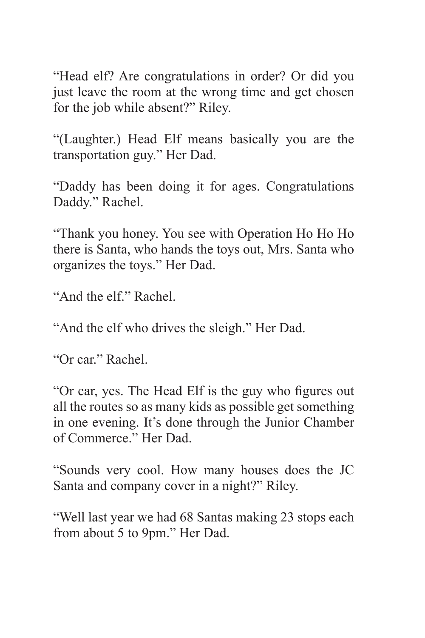"Head elf? Are congratulations in order? Or did you just leave the room at the wrong time and get chosen for the job while absent?" Riley.

"(Laughter.) Head Elf means basically you are the transportation guy." Her Dad.

"Daddy has been doing it for ages. Congratulations Daddy." Rachel.

"Thank you honey. You see with Operation Ho Ho Ho there is Santa, who hands the toys out, Mrs. Santa who organizes the toys." Her Dad.

"And the elf." Rachel.

"And the elf who drives the sleigh." Her Dad.

"Or car." Rachel.

"Or car, yes. The Head Elf is the guy who figures out all the routes so as many kids as possible get something in one evening. It's done through the Junior Chamber of Commerce." Her Dad.

"Sounds very cool. How many houses does the JC Santa and company cover in a night?" Riley.

"Well last year we had 68 Santas making 23 stops each from about 5 to 9pm." Her Dad.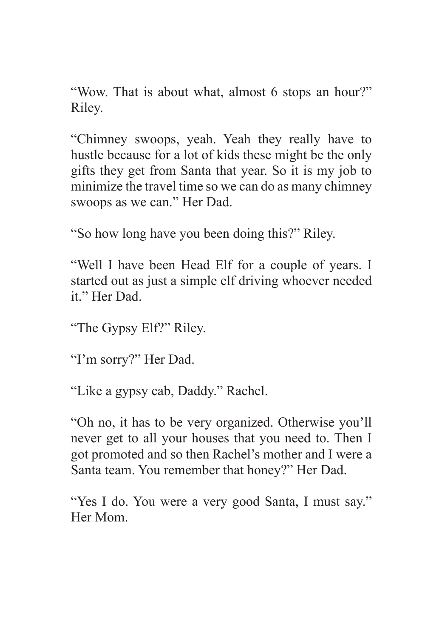"Wow. That is about what, almost 6 stops an hour?" Riley.

"Chimney swoops, yeah. Yeah they really have to hustle because for a lot of kids these might be the only gifts they get from Santa that year. So it is my job to minimize the travel time so we can do as many chimney swoops as we can." Her Dad.

"So how long have you been doing this?" Riley.

"Well I have been Head Elf for a couple of years. I started out as just a simple elf driving whoever needed it." Her Dad.

"The Gypsy Elf?" Riley.

"I'm sorry?" Her Dad.

"Like a gypsy cab, Daddy." Rachel.

"Oh no, it has to be very organized. Otherwise you'll never get to all your houses that you need to. Then I got promoted and so then Rachel's mother and I were a Santa team. You remember that honey?" Her Dad.

"Yes I do. You were a very good Santa, I must say." Her Mom.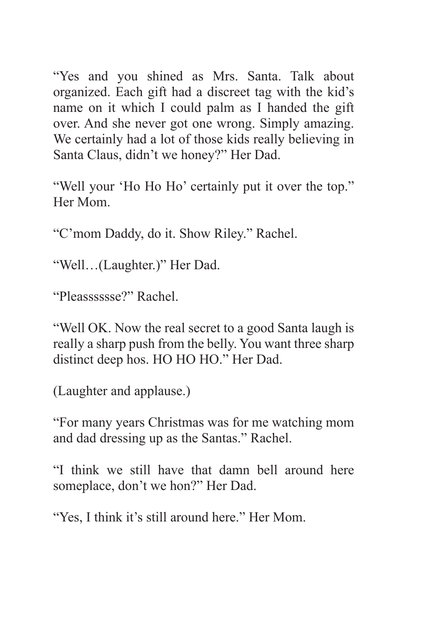"Yes and you shined as Mrs. Santa. Talk about organized. Each gift had a discreet tag with the kid's name on it which I could palm as I handed the gift over. And she never got one wrong. Simply amazing. We certainly had a lot of those kids really believing in Santa Claus, didn't we honey?" Her Dad.

"Well your 'Ho Ho Ho' certainly put it over the top." Her Mom.

"C'mom Daddy, do it. Show Riley." Rachel.

"Well…(Laughter.)" Her Dad.

"Pleasssssse?" Rachel.

"Well OK. Now the real secret to a good Santa laugh is really a sharp push from the belly. You want three sharp distinct deep hos. HO HO HO." Her Dad.

(Laughter and applause.)

"For many years Christmas was for me watching mom and dad dressing up as the Santas." Rachel.

"I think we still have that damn bell around here someplace, don't we hon?" Her Dad.

"Yes, I think it's still around here." Her Mom.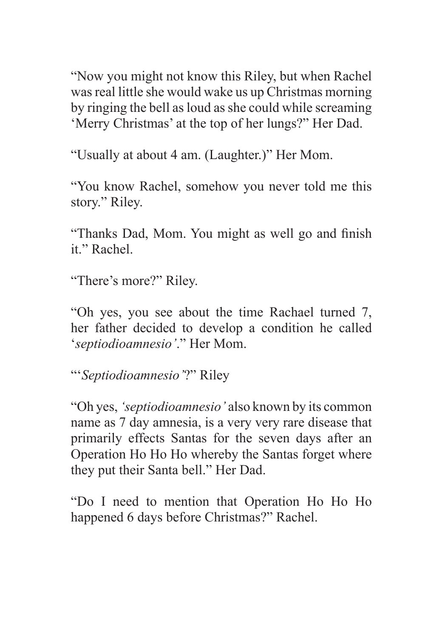"Now you might not know this Riley, but when Rachel was real little she would wake us up Christmas morning by ringing the bell as loud as she could while screaming 'Merry Christmas' at the top of her lungs?" Her Dad.

"Usually at about 4 am. (Laughter.)" Her Mom.

"You know Rachel, somehow you never told me this story." Riley.

"Thanks Dad, Mom. You might as well go and finish it." Rachel.

"There's more?" Riley.

"Oh yes, you see about the time Rachael turned 7, her father decided to develop a condition he called '*septiodioamnesio'*." Her Mom.

"'*Septiodioamnesio'*?" Riley

"Oh yes, *'septiodioamnesio'* also known by its common name as 7 day amnesia, is a very very rare disease that primarily effects Santas for the seven days after an Operation Ho Ho Ho whereby the Santas forget where they put their Santa bell." Her Dad.

"Do I need to mention that Operation Ho Ho Ho happened 6 days before Christmas?" Rachel.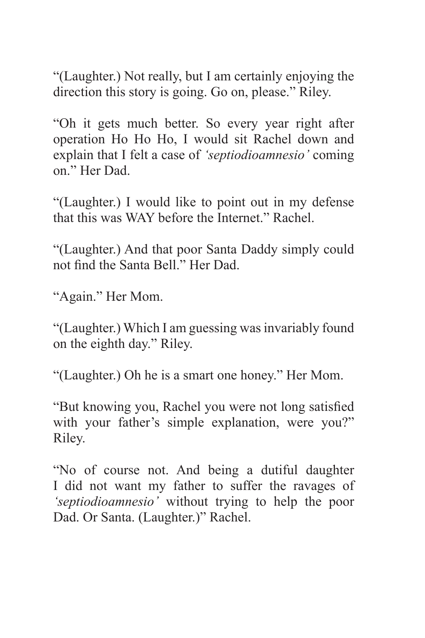"(Laughter.) Not really, but I am certainly enjoying the direction this story is going. Go on, please." Riley.

"Oh it gets much better. So every year right after operation Ho Ho Ho, I would sit Rachel down and explain that I felt a case of *'septiodioamnesio'* coming on." Her Dad.

"(Laughter.) I would like to point out in my defense that this was WAY before the Internet." Rachel.

"(Laughter.) And that poor Santa Daddy simply could not find the Santa Bell." Her Dad.

"Again." Her Mom.

"(Laughter.) Which I am guessing was invariably found on the eighth day." Riley.

"(Laughter.) Oh he is a smart one honey." Her Mom.

"But knowing you, Rachel you were not long satisfied with your father's simple explanation, were you?" Riley.

"No of course not. And being a dutiful daughter I did not want my father to suffer the ravages of *'septiodioamnesio'* without trying to help the poor Dad. Or Santa. (Laughter.)" Rachel.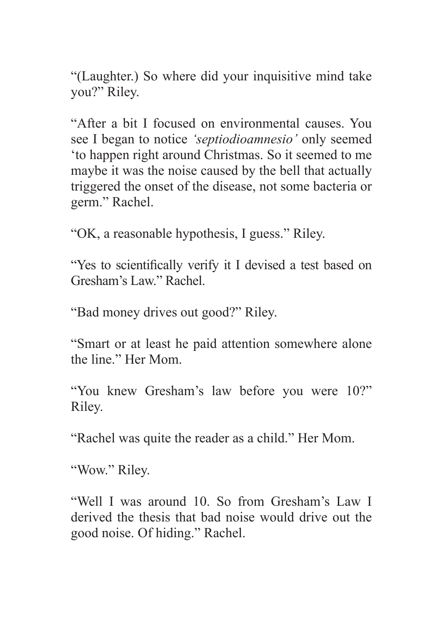"(Laughter.) So where did your inquisitive mind take you?" Riley.

"After a bit I focused on environmental causes. You see I began to notice *'septiodioamnesio'* only seemed 'to happen right around Christmas. So it seemed to me maybe it was the noise caused by the bell that actually triggered the onset of the disease, not some bacteria or germ." Rachel.

"OK, a reasonable hypothesis, I guess." Riley.

"Yes to scientifically verify it I devised a test based on Gresham's Law." Rachel.

"Bad money drives out good?" Riley.

"Smart or at least he paid attention somewhere alone the line." Her Mom.

"You knew Gresham's law before you were 10?" Riley.

"Rachel was quite the reader as a child." Her Mom.

"Wow." Riley.

"Well I was around 10. So from Gresham's Law I derived the thesis that bad noise would drive out the good noise. Of hiding." Rachel.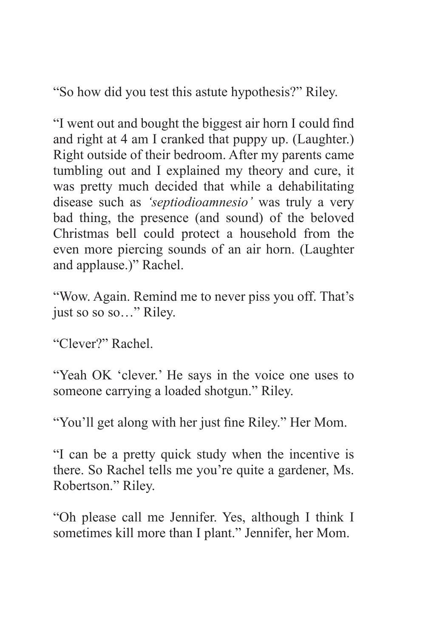"So how did you test this astute hypothesis?" Riley.

"I went out and bought the biggest air horn I could find and right at 4 am I cranked that puppy up. (Laughter.) Right outside of their bedroom. After my parents came tumbling out and I explained my theory and cure, it was pretty much decided that while a dehabilitating disease such as *'septiodioamnesio'* was truly a very bad thing, the presence (and sound) of the beloved Christmas bell could protect a household from the even more piercing sounds of an air horn. (Laughter and applause.)" Rachel.

"Wow. Again. Remind me to never piss you off. That's just so so so..." Riley.

"Clever?" Rachel.

"Yeah OK 'clever.' He says in the voice one uses to someone carrying a loaded shotgun." Riley.

"You'll get along with her just fine Riley." Her Mom.

"I can be a pretty quick study when the incentive is there. So Rachel tells me you're quite a gardener, Ms. Robertson." Riley.

"Oh please call me Jennifer. Yes, although I think I sometimes kill more than I plant." Jennifer, her Mom.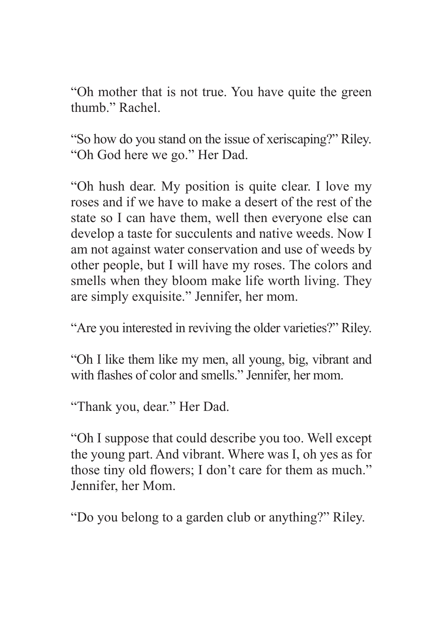"Oh mother that is not true. You have quite the green thumb." Rachel.

"So how do you stand on the issue of xeriscaping?" Riley. "Oh God here we go." Her Dad.

"Oh hush dear. My position is quite clear. I love my roses and if we have to make a desert of the rest of the state so I can have them, well then everyone else can develop a taste for succulents and native weeds. Now I am not against water conservation and use of weeds by other people, but I will have my roses. The colors and smells when they bloom make life worth living. They are simply exquisite." Jennifer, her mom.

"Are you interested in reviving the older varieties?" Riley.

"Oh I like them like my men, all young, big, vibrant and with flashes of color and smells." Jennifer, her mom.

"Thank you, dear." Her Dad.

"Oh I suppose that could describe you too. Well except the young part. And vibrant. Where was I, oh yes as for those tiny old flowers; I don't care for them as much." Jennifer, her Mom.

"Do you belong to a garden club or anything?" Riley.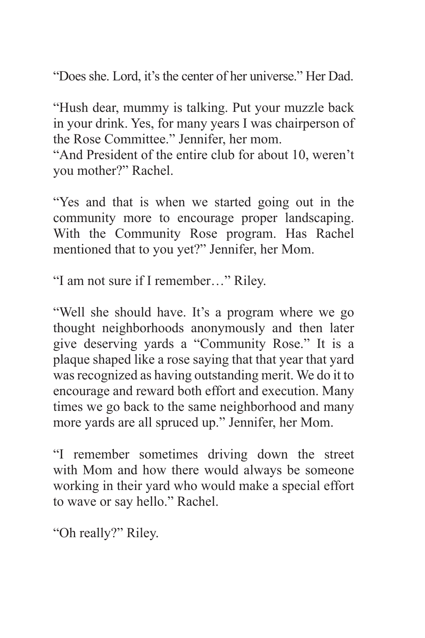"Does she. Lord, it's the center of her universe." Her Dad.

"Hush dear, mummy is talking. Put your muzzle back in your drink. Yes, for many years I was chairperson of the Rose Committee." Jennifer, her mom.

"And President of the entire club for about 10, weren't you mother?" Rachel.

"Yes and that is when we started going out in the community more to encourage proper landscaping. With the Community Rose program. Has Rachel mentioned that to you yet?" Jennifer, her Mom.

"I am not sure if I remember…" Riley.

"Well she should have. It's a program where we go thought neighborhoods anonymously and then later give deserving yards a "Community Rose." It is a plaque shaped like a rose saying that that year that yard was recognized as having outstanding merit. We do it to encourage and reward both effort and execution. Many times we go back to the same neighborhood and many more yards are all spruced up." Jennifer, her Mom.

"I remember sometimes driving down the street with Mom and how there would always be someone working in their yard who would make a special effort to wave or say hello." Rachel.

"Oh really?" Riley.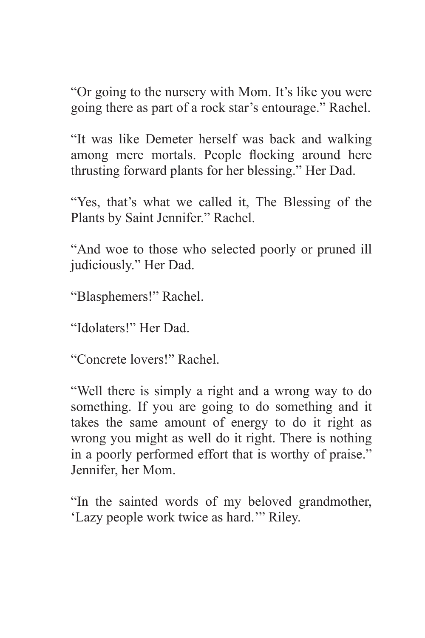"Or going to the nursery with Mom. It's like you were going there as part of a rock star's entourage." Rachel.

"It was like Demeter herself was back and walking among mere mortals. People flocking around here thrusting forward plants for her blessing." Her Dad.

"Yes, that's what we called it, The Blessing of the Plants by Saint Jennifer." Rachel.

"And woe to those who selected poorly or pruned ill judiciously." Her Dad.

"Blasphemers!" Rachel.

"Idolaters!" Her Dad.

"Concrete lovers!" Rachel.

"Well there is simply a right and a wrong way to do something. If you are going to do something and it takes the same amount of energy to do it right as wrong you might as well do it right. There is nothing in a poorly performed effort that is worthy of praise." Jennifer, her Mom.

"In the sainted words of my beloved grandmother, 'Lazy people work twice as hard.'" Riley.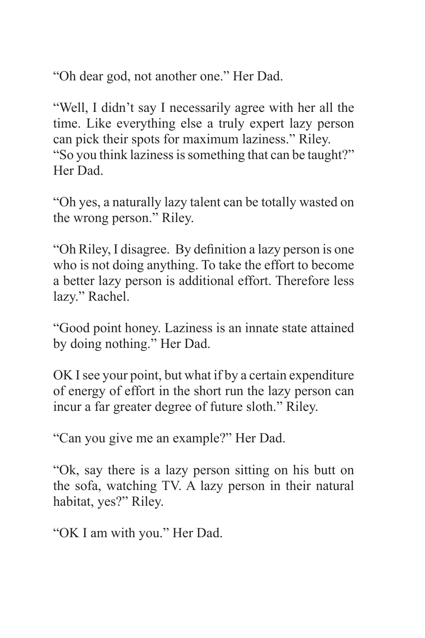"Oh dear god, not another one." Her Dad.

"Well, I didn't say I necessarily agree with her all the time. Like everything else a truly expert lazy person can pick their spots for maximum laziness." Riley. "So you think laziness is something that can be taught?" Her Dad.

"Oh yes, a naturally lazy talent can be totally wasted on the wrong person." Riley.

"Oh Riley, I disagree. By definition a lazy person is one who is not doing anything. To take the effort to become a better lazy person is additional effort. Therefore less lazy." Rachel.

"Good point honey. Laziness is an innate state attained by doing nothing." Her Dad.

OK I see your point, but what if by a certain expenditure of energy of effort in the short run the lazy person can incur a far greater degree of future sloth." Riley.

"Can you give me an example?" Her Dad.

"Ok, say there is a lazy person sitting on his butt on the sofa, watching TV. A lazy person in their natural habitat, yes?" Riley.

"OK I am with you." Her Dad.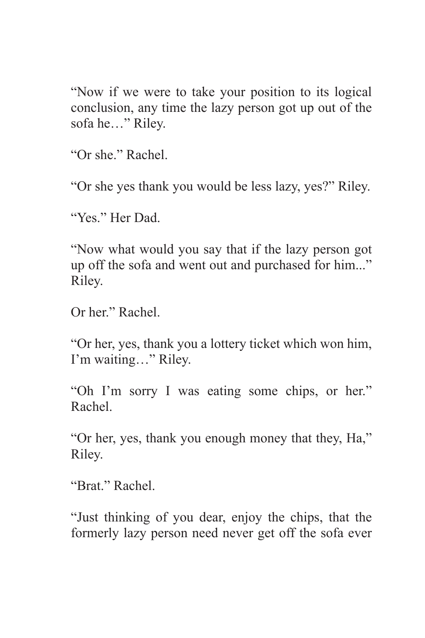"Now if we were to take your position to its logical conclusion, any time the lazy person got up out of the sofa he…" Riley.

"Or she." Rachel.

"Or she yes thank you would be less lazy, yes?" Riley.

"Yes." Her Dad.

"Now what would you say that if the lazy person got up off the sofa and went out and purchased for him..." Riley.

Or her." Rachel.

"Or her, yes, thank you a lottery ticket which won him, I'm waiting…" Riley.

"Oh I'm sorry I was eating some chips, or her." Rachel.

"Or her, yes, thank you enough money that they, Ha," Riley.

"Brat." Rachel.

"Just thinking of you dear, enjoy the chips, that the formerly lazy person need never get off the sofa ever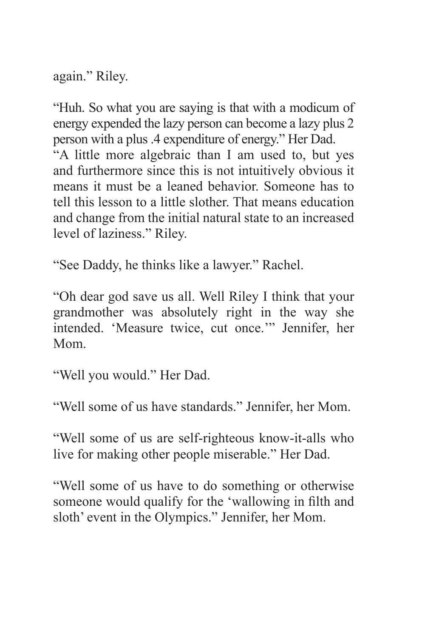again." Riley.

"Huh. So what you are saying is that with a modicum of energy expended the lazy person can become a lazy plus 2 person with a plus .4 expenditure of energy." Her Dad. "A little more algebraic than I am used to, but yes and furthermore since this is not intuitively obvious it means it must be a leaned behavior. Someone has to tell this lesson to a little slother. That means education and change from the initial natural state to an increased

"See Daddy, he thinks like a lawyer." Rachel.

"Oh dear god save us all. Well Riley I think that your grandmother was absolutely right in the way she intended. 'Measure twice, cut once.'" Jennifer, her Mom.

"Well you would." Her Dad.

level of laziness." Riley.

"Well some of us have standards." Jennifer, her Mom.

"Well some of us are self-righteous know-it-alls who live for making other people miserable." Her Dad.

"Well some of us have to do something or otherwise someone would qualify for the 'wallowing in filth and sloth' event in the Olympics." Jennifer, her Mom.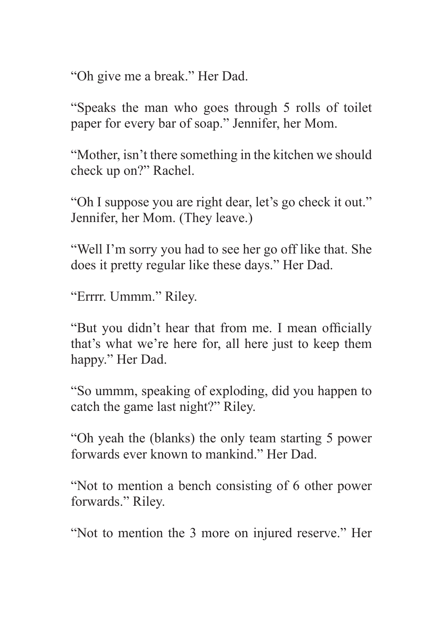"Oh give me a break." Her Dad.

"Speaks the man who goes through 5 rolls of toilet paper for every bar of soap." Jennifer, her Mom.

"Mother, isn't there something in the kitchen we should check up on?" Rachel.

"Oh I suppose you are right dear, let's go check it out." Jennifer, her Mom. (They leave.)

"Well I'm sorry you had to see her go off like that. She does it pretty regular like these days." Her Dad.

"Errrr. Ummm." Riley.

"But you didn't hear that from me. I mean officially that's what we're here for, all here just to keep them happy." Her Dad.

"So ummm, speaking of exploding, did you happen to catch the game last night?" Riley.

"Oh yeah the (blanks) the only team starting 5 power forwards ever known to mankind." Her Dad.

"Not to mention a bench consisting of 6 other power forwards." Riley.

"Not to mention the 3 more on injured reserve." Her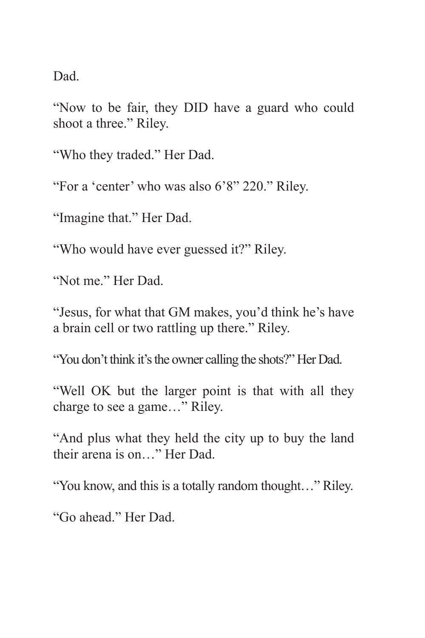Dad.

"Now to be fair, they DID have a guard who could shoot a three." Riley.

"Who they traded." Her Dad.

"For a 'center' who was also 6'8" 220." Riley.

"Imagine that." Her Dad.

"Who would have ever guessed it?" Riley.

"Not me." Her Dad.

"Jesus, for what that GM makes, you'd think he's have a brain cell or two rattling up there." Riley.

"You don't think it's the owner calling the shots?" Her Dad.

"Well OK but the larger point is that with all they charge to see a game…" Riley.

"And plus what they held the city up to buy the land their arena is on…" Her Dad.

"You know, and this is a totally random thought…" Riley.

"Go ahead." Her Dad.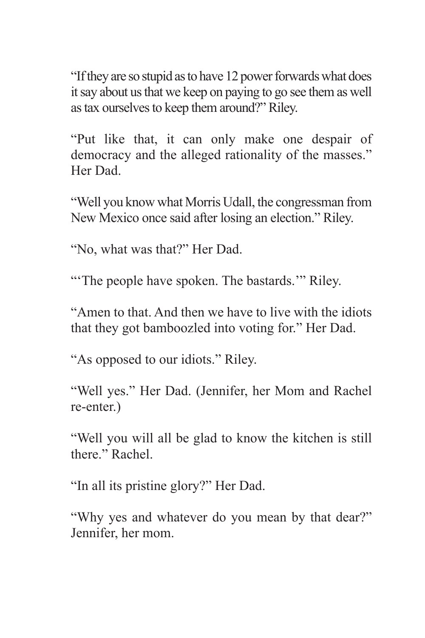"If they are so stupid as to have 12 power forwards what does it say about us that we keep on paying to go see them as well as tax ourselves to keep them around?" Riley.

"Put like that, it can only make one despair of democracy and the alleged rationality of the masses." Her Dad.

"Well you know what Morris Udall, the congressman from New Mexico once said after losing an election." Riley.

"No, what was that?" Her Dad.

"The people have spoken. The bastards." Riley.

"Amen to that. And then we have to live with the idiots that they got bamboozled into voting for." Her Dad.

"As opposed to our idiots." Riley.

"Well yes." Her Dad. (Jennifer, her Mom and Rachel re-enter.)

"Well you will all be glad to know the kitchen is still there." Rachel.

"In all its pristine glory?" Her Dad.

"Why yes and whatever do you mean by that dear?" Jennifer, her mom.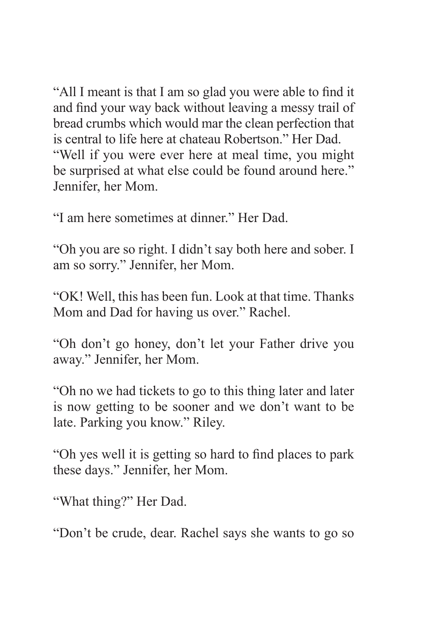"All I meant is that I am so glad you were able to find it and find your way back without leaving a messy trail of bread crumbs which would mar the clean perfection that is central to life here at chateau Robertson." Her Dad. "Well if you were ever here at meal time, you might be surprised at what else could be found around here." Jennifer, her Mom.

"I am here sometimes at dinner." Her Dad.

"Oh you are so right. I didn't say both here and sober. I am so sorry." Jennifer, her Mom.

"OK! Well, this has been fun. Look at that time. Thanks Mom and Dad for having us over." Rachel.

"Oh don't go honey, don't let your Father drive you away." Jennifer, her Mom.

"Oh no we had tickets to go to this thing later and later is now getting to be sooner and we don't want to be late. Parking you know." Riley.

"Oh yes well it is getting so hard to find places to park these days." Jennifer, her Mom.

"What thing?" Her Dad.

"Don't be crude, dear. Rachel says she wants to go so